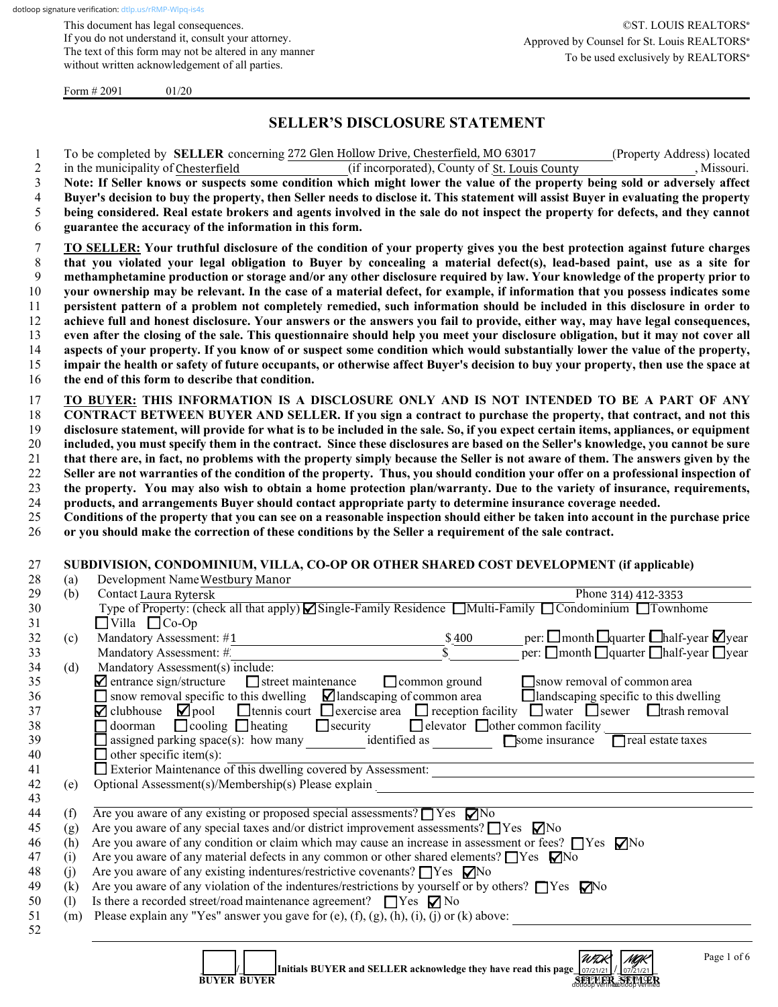This document has legal consequences. If you do not understand it, consult your attorney. The text of this form may not be altered in any manner without written acknowledgement of all parties.

Form  $\# 2091$  01/20

## **SELLER'S DISCLOSURE STATEMENT**

1 To be completed by **SELLER** concerning 272 Glen Hollow Drive, Chesterfield, MO 63017 (Property Address) located

| $\overline{2}$ |                                                                                                                                | (if incorporated), County of St. Louis County<br>in the municipality of Chesterfield<br>, Missouri.                                                                 |  |  |  |  |  |  |  |  |
|----------------|--------------------------------------------------------------------------------------------------------------------------------|---------------------------------------------------------------------------------------------------------------------------------------------------------------------|--|--|--|--|--|--|--|--|
| $\mathfrak{Z}$ |                                                                                                                                | Note: If Seller knows or suspects some condition which might lower the value of the property being sold or adversely affect                                         |  |  |  |  |  |  |  |  |
| 4              |                                                                                                                                | Buyer's decision to buy the property, then Seller needs to disclose it. This statement will assist Buyer in evaluating the property                                 |  |  |  |  |  |  |  |  |
| 5              | being considered. Real estate brokers and agents involved in the sale do not inspect the property for defects, and they cannot |                                                                                                                                                                     |  |  |  |  |  |  |  |  |
| 6              |                                                                                                                                | guarantee the accuracy of the information in this form.                                                                                                             |  |  |  |  |  |  |  |  |
| 7              |                                                                                                                                | TO SELLER: Your truthful disclosure of the condition of your property gives you the best protection against future charges                                          |  |  |  |  |  |  |  |  |
| 8              |                                                                                                                                | that you violated your legal obligation to Buyer by concealing a material defect(s), lead-based paint, use as a site for                                            |  |  |  |  |  |  |  |  |
| 9              |                                                                                                                                | methamphetamine production or storage and/or any other disclosure required by law. Your knowledge of the property prior to                                          |  |  |  |  |  |  |  |  |
| 10             |                                                                                                                                | your ownership may be relevant. In the case of a material defect, for example, if information that you possess indicates some                                       |  |  |  |  |  |  |  |  |
| 11             |                                                                                                                                | persistent pattern of a problem not completely remedied, such information should be included in this disclosure in order to                                         |  |  |  |  |  |  |  |  |
| 12             |                                                                                                                                | achieve full and honest disclosure. Your answers or the answers you fail to provide, either way, may have legal consequences,                                       |  |  |  |  |  |  |  |  |
| 13             |                                                                                                                                | even after the closing of the sale. This questionnaire should help you meet your disclosure obligation, but it may not cover all                                    |  |  |  |  |  |  |  |  |
| 14             |                                                                                                                                | aspects of your property. If you know of or suspect some condition which would substantially lower the value of the property,                                       |  |  |  |  |  |  |  |  |
| 15             |                                                                                                                                | impair the health or safety of future occupants, or otherwise affect Buyer's decision to buy your property, then use the space at                                   |  |  |  |  |  |  |  |  |
| 16             |                                                                                                                                | the end of this form to describe that condition.                                                                                                                    |  |  |  |  |  |  |  |  |
|                |                                                                                                                                |                                                                                                                                                                     |  |  |  |  |  |  |  |  |
| 17             |                                                                                                                                | TO BUYER: THIS INFORMATION IS A DISCLOSURE ONLY AND IS NOT INTENDED TO BE A PART OF ANY                                                                             |  |  |  |  |  |  |  |  |
| 18             |                                                                                                                                | CONTRACT BETWEEN BUYER AND SELLER. If you sign a contract to purchase the property, that contract, and not this                                                     |  |  |  |  |  |  |  |  |
| 19             |                                                                                                                                | disclosure statement, will provide for what is to be included in the sale. So, if you expect certain items, appliances, or equipment                                |  |  |  |  |  |  |  |  |
| 20             |                                                                                                                                | included, you must specify them in the contract. Since these disclosures are based on the Seller's knowledge, you cannot be sure                                    |  |  |  |  |  |  |  |  |
| 21             |                                                                                                                                | that there are, in fact, no problems with the property simply because the Seller is not aware of them. The answers given by the                                     |  |  |  |  |  |  |  |  |
| 22             |                                                                                                                                | Seller are not warranties of the condition of the property. Thus, you should condition your offer on a professional inspection of                                   |  |  |  |  |  |  |  |  |
| 23             |                                                                                                                                | the property. You may also wish to obtain a home protection plan/warranty. Due to the variety of insurance, requirements,                                           |  |  |  |  |  |  |  |  |
| 24             |                                                                                                                                | products, and arrangements Buyer should contact appropriate party to determine insurance coverage needed.                                                           |  |  |  |  |  |  |  |  |
| 25             |                                                                                                                                | Conditions of the property that you can see on a reasonable inspection should either be taken into account in the purchase price                                    |  |  |  |  |  |  |  |  |
| 26             |                                                                                                                                | or you should make the correction of these conditions by the Seller a requirement of the sale contract.                                                             |  |  |  |  |  |  |  |  |
|                |                                                                                                                                |                                                                                                                                                                     |  |  |  |  |  |  |  |  |
|                |                                                                                                                                |                                                                                                                                                                     |  |  |  |  |  |  |  |  |
| 27             |                                                                                                                                | SUBDIVISION, CONDOMINIUM, VILLA, CO-OP OR OTHER SHARED COST DEVELOPMENT (if applicable)                                                                             |  |  |  |  |  |  |  |  |
| 28             | (a)                                                                                                                            | Development Name Westbury Manor                                                                                                                                     |  |  |  |  |  |  |  |  |
| 29             | (b)                                                                                                                            | Contact Laura Rytersk<br>Phone 314) 412-3353                                                                                                                        |  |  |  |  |  |  |  |  |
| 30             |                                                                                                                                | Type of Property: (check all that apply) Single-Family Residence Multi-Family Condominium Townhome                                                                  |  |  |  |  |  |  |  |  |
| 31             |                                                                                                                                | $\Box$ Villa $\Box$ Co-Op                                                                                                                                           |  |  |  |  |  |  |  |  |
| 32             | (c)                                                                                                                            | per: $\square$ month $\square$ quarter $\square$ half-year $\square$ year<br>Mandatory Assessment: #1                                                               |  |  |  |  |  |  |  |  |
| 33             |                                                                                                                                | $\frac{$400}{\$}$<br>per: $\Box$ month $\Box$ quarter $\Box$ half-year $\Box$ year<br>Mandatory Assessment: #                                                       |  |  |  |  |  |  |  |  |
| 34             | (d)                                                                                                                            | Mandatory Assessment(s) include:                                                                                                                                    |  |  |  |  |  |  |  |  |
| 35             |                                                                                                                                | $\blacksquare$ entrance sign/structure<br>$\Box$ street maintenance<br>$\Box$ common ground<br>snow removal of common area                                          |  |  |  |  |  |  |  |  |
| 36             |                                                                                                                                | $\Box$ snow removal specific to this dwelling $\Box$ landscaping of common area<br>$\Box$ landscaping specific to this dwelling                                     |  |  |  |  |  |  |  |  |
| 37             |                                                                                                                                | <b>O</b> tennis court $\Box$ exercise area $\Box$ reception facility $\Box$ water $\Box$ sewer $\Box$ trash removal<br>$\blacksquare$ clubhouse $\blacksquare$ pool |  |  |  |  |  |  |  |  |
| 38             |                                                                                                                                | $\Box$ cooling $\Box$ heating<br>$\Box$ security<br>$\Box$ elevator $\Box$ other common facility<br>$\Box$ doorman                                                  |  |  |  |  |  |  |  |  |
| 39             |                                                                                                                                | assigned parking space(s): how many identified as Some insurance<br>real estate taxes                                                                               |  |  |  |  |  |  |  |  |
| 40             |                                                                                                                                | $\Box$ other specific item(s):                                                                                                                                      |  |  |  |  |  |  |  |  |
| 41             |                                                                                                                                |                                                                                                                                                                     |  |  |  |  |  |  |  |  |
| 42             | (e)                                                                                                                            | Exterior Maintenance of this dwelling covered by Assessment:                                                                                                        |  |  |  |  |  |  |  |  |
| 43             |                                                                                                                                | Optional Assessment(s)/Membership(s) Please explain                                                                                                                 |  |  |  |  |  |  |  |  |
| 44             | (f)                                                                                                                            | Are you aware of any existing or proposed special assessments? $\Box$ Yes $\nabla$ No                                                                               |  |  |  |  |  |  |  |  |
| 45             | (g)                                                                                                                            | Are you aware of any special taxes and/or district improvement assessments? $\Box$ Yes $\nabla$ No                                                                  |  |  |  |  |  |  |  |  |
| 46             | (h)                                                                                                                            | Are you aware of any condition or claim which may cause an increase in assessment or fees? $\Box$ Yes $\nabla$ No                                                   |  |  |  |  |  |  |  |  |
| 47             | (i)                                                                                                                            | Are you aware of any material defects in any common or other shared elements? $\Box$ Yes $\Box$ No                                                                  |  |  |  |  |  |  |  |  |
| 48             | (j)                                                                                                                            | Are you aware of any existing indentures/restrictive covenants? $\Box$ Yes $\nabla$ No                                                                              |  |  |  |  |  |  |  |  |
| 49             | (k)                                                                                                                            | Are you aware of any violation of the indentures/restrictions by yourself or by others? $\Box$ Yes $\Box$ Yo                                                        |  |  |  |  |  |  |  |  |
| 50             | (1)                                                                                                                            | Is there a recorded street/road maintenance agreement? $\Box$ Yes $\nabla$ No                                                                                       |  |  |  |  |  |  |  |  |
| 51             | (m)                                                                                                                            | Please explain any "Yes" answer you gave for (e), (f), (g), (h), (i), (j) or (k) above:<br><u> 1989 - John Stein, Amerikaansk politiker (</u>                       |  |  |  |  |  |  |  |  |

| Initials BUYER and SELLER acknowledge they have read this page $\frac{1}{27/21/21}$ / $\frac{1}{27/21/21}$<br><b>BUYER BUYER</b> | WDK<br>SELLER SELLER | MAK |  |
|----------------------------------------------------------------------------------------------------------------------------------|----------------------|-----|--|
|----------------------------------------------------------------------------------------------------------------------------------|----------------------|-----|--|

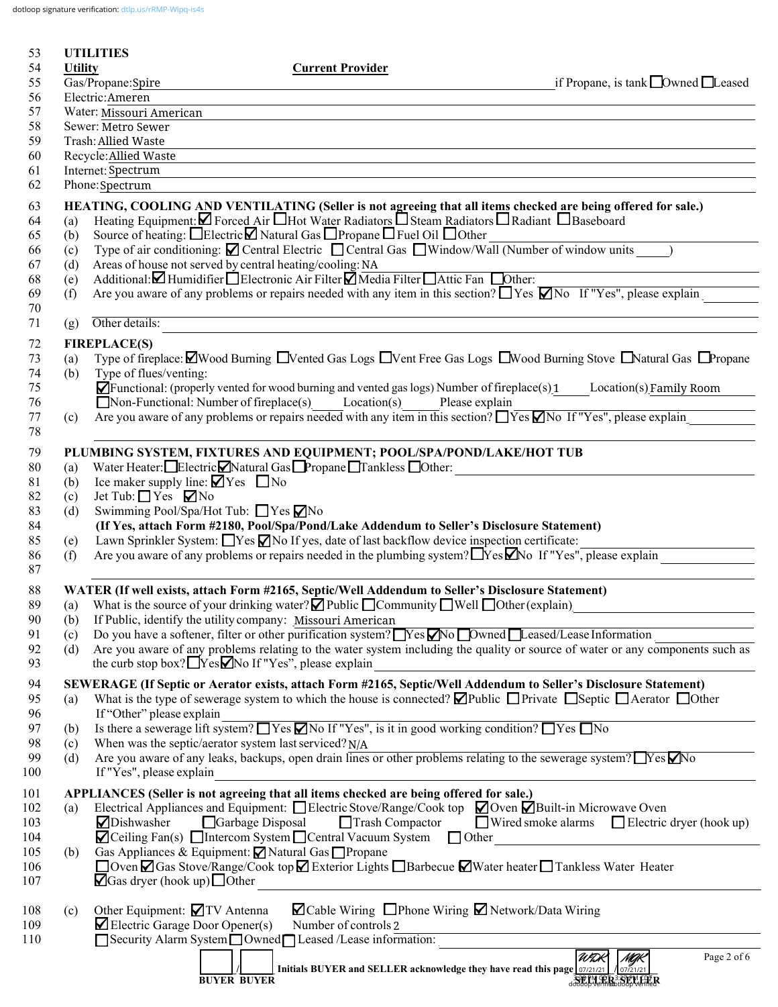dotloop signature verification: [dtlp.us/rRMP-Wlpq-is4s](https://dtlp.us/rRMP-Wlpq-is4s)

| 53         |                | <b>UTILITIES</b>                                                                                                                                                                                                 |
|------------|----------------|------------------------------------------------------------------------------------------------------------------------------------------------------------------------------------------------------------------|
| 54         | <b>Utility</b> | <b>Current Provider</b>                                                                                                                                                                                          |
| 55<br>56   |                | if Propane, is tank $\Box$ Owned $\Box$ Leased<br>Gas/Propane:Spire<br>Electric: Ameren                                                                                                                          |
| 57         |                | Water: Missouri American                                                                                                                                                                                         |
| 58         |                | Sewer: Metro Sewer                                                                                                                                                                                               |
| 59         |                | Trash: Allied Waste                                                                                                                                                                                              |
| 60         |                | Recycle: Allied Waste                                                                                                                                                                                            |
| 61         |                | Internet: Spectrum                                                                                                                                                                                               |
| 62         |                | Phone: Spectrum                                                                                                                                                                                                  |
| 63         |                | HEATING, COOLING AND VENTILATING (Seller is not agreeing that all items checked are being offered for sale.)<br>Heating Equipment: Ø Forced Air Hot Water Radiators OSteam Radiators ORadiant OBaseboard         |
| 64<br>65   | (a)<br>(b)     | Source of heating: □Electric□ Natural Gas □ Propane □ Fuel Oil □ Other                                                                                                                                           |
| 66         | (c)            | Type of air conditioning: <b>△</b> Central Electric □ Central Gas □ Window/Wall (Number of window units )                                                                                                        |
| 67         | (d)            | Areas of house not served by central heating/cooling: NA                                                                                                                                                         |
| 68         | (e)            | Additional: Humidifier Electronic Air Filter Media Filter Attic Fan Dother:                                                                                                                                      |
| 69         | (f)            | Are you aware of any problems or repairs needed with any item in this section? $\Box$ Yes $\Box$ No If "Yes", please explain                                                                                     |
| 70<br>71   | (g)            | Other details:                                                                                                                                                                                                   |
|            |                | <b>FIREPLACE(S)</b>                                                                                                                                                                                              |
| 72<br>73   | (a)            | Type of fireplace: $\Box$ Wood Burning $\Box$ Vented Gas Logs $\Box$ Vent Free Gas Logs $\Box$ Wood Burning Stove $\Box$ Natural Gas $\Box$ Propane                                                              |
| 74         | (b)            | Type of flues/venting:                                                                                                                                                                                           |
| 75         |                | $\blacktriangleright$ Functional: (properly vented for wood burning and vented gas logs) Number of fireplace(s) 1<br>Location(s) Family Room                                                                     |
| 76         |                | $\Box$ Non-Functional: Number of fireplace(s) Location(s)<br>Please explain                                                                                                                                      |
| 77         | (c)            | Are you aware of any problems or repairs needed with any item in this section? $\Box$ Yes $\Box$ No If "Yes", please explain                                                                                     |
| 78         |                |                                                                                                                                                                                                                  |
| 79         |                | PLUMBING SYSTEM, FIXTURES AND EQUIPMENT; POOL/SPA/POND/LAKE/HOT TUB<br>Water Heater: Electric Natural Gas Propane Tankless Other:                                                                                |
| 80<br>81   | (a)<br>(b)     | Ice maker supply line: $\Box$ Yes $\Box$ No                                                                                                                                                                      |
| 82         | (c)            | Jet Tub: $\Box$ Yes $\nabla$ No                                                                                                                                                                                  |
| 83         | (d)            | Swimming Pool/Spa/Hot Tub: ■ Yes ■ No                                                                                                                                                                            |
| 84         |                | (If Yes, attach Form #2180, Pool/Spa/Pond/Lake Addendum to Seller's Disclosure Statement)                                                                                                                        |
| 85         | (e)            | Lawn Sprinkler System: Nes No If yes, date of last backflow device inspection certificate:                                                                                                                       |
| 86<br>87   | (f)            | Are you aware of any problems or repairs needed in the plumbing system? TYes Mo If "Yes", please explain                                                                                                         |
|            |                |                                                                                                                                                                                                                  |
| 88<br>89   | (a)            | WATER (If well exists, attach Form #2165, Septic/Well Addendum to Seller's Disclosure Statement)<br>What is the source of your drinking water? $\Box$ Public $\Box$ Community $\Box$ Well $\Box$ Other (explain) |
| 90         | (b)            | If Public, identify the utility company: Missouri American                                                                                                                                                       |
| 91         | (c)            | Do you have a softener, filter or other purification system? Nes ZNo Dwned Leased/Lease Information                                                                                                              |
| 92         | (d)            | Are you aware of any problems relating to the water system including the quality or source of water or any components such as                                                                                    |
| 93         |                | the curb stop box? $\Box$ Yes $\Box$ No If "Yes", please explain                                                                                                                                                 |
| 94         |                | SEWERAGE (If Septic or Aerator exists, attach Form #2165, Septic/Well Addendum to Seller's Disclosure Statement)                                                                                                 |
| 95         | (a)            | What is the type of sewerage system to which the house is connected? $\Box$ Public $\Box$ Private $\Box$ Septic $\Box$ Aerator $\Box$ Other                                                                      |
| 96<br>97   | (b)            | If "Other" please explain<br>Is there a sewerage lift system? $\Box$ Yes $\Box$ No If "Yes", is it in good working condition? $\Box$ Yes $\Box$ No                                                               |
| 98         | (c)            | When was the septic/aerator system last serviced? $N/A$                                                                                                                                                          |
| 99         | (d)            | Are you aware of any leaks, backups, open drain lines or other problems relating to the sewerage system? TYes No                                                                                                 |
| 100        |                | If "Yes", please explain                                                                                                                                                                                         |
| 101        |                | APPLIANCES (Seller is not agreeing that all items checked are being offered for sale.)                                                                                                                           |
| 102        | (a)            | Electrical Appliances and Equipment: $\Box$ Electric Stove/Range/Cook top $\Box$ Oven $\Box$ Built-in Microwave Oven                                                                                             |
| 103<br>104 |                | Dishwasher<br>Garbage Disposal<br>$\Box$ Trash Compactor<br>$\Box$ Wired smoke alarms $\Box$ Electric dryer (hook up)<br>$\Box$ Ceiling Fan(s) $\Box$ Intercom System $\Box$ Central Vacuum System $\Box$ Other  |
| 105        | (b)            | Gas Appliances & Equipment: ⊠ Natural Gas □ Propane                                                                                                                                                              |
| 106        |                | □ Oven Ø Gas Stove/Range/Cook top Ø Exterior Lights □ Barbecue Ø Water heater □ Tankless Water Heater                                                                                                            |
| 107        |                | $\Box$ Gas dryer (hook up) $\Box$ Other                                                                                                                                                                          |
|            |                | $\blacksquare$ Cable Wiring $\blacksquare$ Phone Wiring $\blacksquare$ Network/Data Wiring                                                                                                                       |
| 108<br>109 | (c)            | Other Equipment: 7TV Antenna<br>$\blacktriangleright$ Electric Garage Door Opener(s)<br>Number of controls 2                                                                                                     |
| 110        |                | Security Alarm System Owned Leased /Lease information:                                                                                                                                                           |
|            |                | WDK<br>Page 2 of 6<br>MAK                                                                                                                                                                                        |
|            |                | Initials BUYER and SELLER acknowledge they have read this page $\lfloor 07/21/21 \rfloor$ / $\lfloor 07/21/21 \rfloor$<br>JOILELLER 338FMFPER<br><b>BUYER BUYER</b>                                              |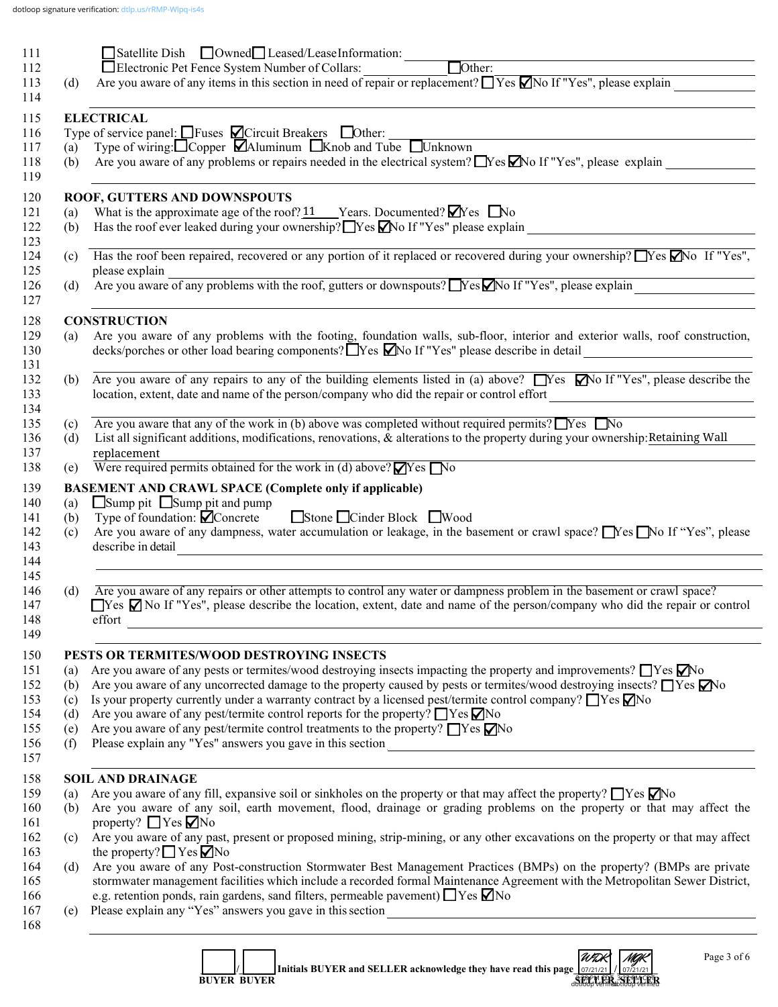|                          | $\Box$ Satellite Dish $\Box$ Owned $\Box$ Leased/LeaseInformation: $\Box$ Other: $\Box$                                                                                                                                                                                                                                                                                                                                                                                                                                                                                                                                                                      |
|--------------------------|--------------------------------------------------------------------------------------------------------------------------------------------------------------------------------------------------------------------------------------------------------------------------------------------------------------------------------------------------------------------------------------------------------------------------------------------------------------------------------------------------------------------------------------------------------------------------------------------------------------------------------------------------------------|
|                          |                                                                                                                                                                                                                                                                                                                                                                                                                                                                                                                                                                                                                                                              |
| (d)                      | Are you aware of any items in this section in need of repair or replacement? $\Box$ Yes $\Box$ No If "Yes", please explain                                                                                                                                                                                                                                                                                                                                                                                                                                                                                                                                   |
|                          | <b>ELECTRICAL</b>                                                                                                                                                                                                                                                                                                                                                                                                                                                                                                                                                                                                                                            |
|                          |                                                                                                                                                                                                                                                                                                                                                                                                                                                                                                                                                                                                                                                              |
|                          | Type of service panel: $\Box$ Fuses $\Box$ Circuit Breakers $\Box$ Other:<br>(a) Type of wiring: $\Box$ Copper $\Box$ Aluminum $\Box$ Knob and Tube $\Box$ Unknown                                                                                                                                                                                                                                                                                                                                                                                                                                                                                           |
| (b)                      | Are you aware of any problems or repairs needed in the electrical system? $\Box$ Yes $\Box$ No If "Yes", please explain                                                                                                                                                                                                                                                                                                                                                                                                                                                                                                                                      |
|                          | ROOF, GUTTERS AND DOWNSPOUTS                                                                                                                                                                                                                                                                                                                                                                                                                                                                                                                                                                                                                                 |
| (a)                      | What is the approximate age of the roof? $11$ Years. Documented? $\blacksquare$ Yes $\blacksquare$ No                                                                                                                                                                                                                                                                                                                                                                                                                                                                                                                                                        |
| (b)                      |                                                                                                                                                                                                                                                                                                                                                                                                                                                                                                                                                                                                                                                              |
| (c)                      | Has the roof been repaired, recovered or any portion of it replaced or recovered during your ownership? $\Box$ Yes $\Box$ No If "Yes",                                                                                                                                                                                                                                                                                                                                                                                                                                                                                                                       |
| (d)                      | please explain<br>please explain<br>Are you aware of any problems with the roof, gutters or downspouts? Nes No If "Yes", please explain                                                                                                                                                                                                                                                                                                                                                                                                                                                                                                                      |
|                          |                                                                                                                                                                                                                                                                                                                                                                                                                                                                                                                                                                                                                                                              |
|                          | <b>CONSTRUCTION</b>                                                                                                                                                                                                                                                                                                                                                                                                                                                                                                                                                                                                                                          |
| (a)                      | Are you aware of any problems with the footing, foundation walls, sub-floor, interior and exterior walls, roof construction,<br>decks/porches or other load bearing components? Nes Mo If "Yes" please describe in detail                                                                                                                                                                                                                                                                                                                                                                                                                                    |
| (b)                      | Are you aware of any repairs to any of the building elements listed in (a) above? $\Box$ Yes $\Box$ No If "Yes", please describe the<br>location, extent, date and name of the person/company who did the repair or control effort                                                                                                                                                                                                                                                                                                                                                                                                                           |
| (c)                      | Are you aware that any of the work in (b) above was completed without required permits? $\Box$ Yes $\Box$ No                                                                                                                                                                                                                                                                                                                                                                                                                                                                                                                                                 |
|                          | List all significant additions, modifications, renovations, & alterations to the property during your ownership: Retaining Wall                                                                                                                                                                                                                                                                                                                                                                                                                                                                                                                              |
| (d)                      |                                                                                                                                                                                                                                                                                                                                                                                                                                                                                                                                                                                                                                                              |
|                          | replacement                                                                                                                                                                                                                                                                                                                                                                                                                                                                                                                                                                                                                                                  |
|                          | Were required permits obtained for the work in (d) above? $\blacksquare$ Yes $\blacksquare$ No<br><b>BASEMENT AND CRAWL SPACE (Complete only if applicable)</b><br>□ Sump pit □ Sump pit and pump                                                                                                                                                                                                                                                                                                                                                                                                                                                            |
| (e)<br>(a)<br>(b)<br>(c) | Type of foundation: $\overleftrightarrow{\mathbf{C}}$ Concrete Stone Cinder Block Wood<br>Are you aware of any dampness, water accumulation or leakage, in the basement or crawl space? Nes No If "Yes", please<br>describe in detail                                                                                                                                                                                                                                                                                                                                                                                                                        |
|                          |                                                                                                                                                                                                                                                                                                                                                                                                                                                                                                                                                                                                                                                              |
| (d)                      | Are you aware of any repairs or other attempts to control any water or dampness problem in the basement or crawl space?<br>effort<br>the contract of the contract of the contract of the contract of the contract of the contract of the                                                                                                                                                                                                                                                                                                                                                                                                                     |
|                          |                                                                                                                                                                                                                                                                                                                                                                                                                                                                                                                                                                                                                                                              |
|                          | PESTS OR TERMITES/WOOD DESTROYING INSECTS                                                                                                                                                                                                                                                                                                                                                                                                                                                                                                                                                                                                                    |
| (a)<br>(b)               | Are you aware of any pests or termites/wood destroying insects impacting the property and improvements? $\Box$ Yes $\Box$ No                                                                                                                                                                                                                                                                                                                                                                                                                                                                                                                                 |
|                          | Are you aware of any uncorrected damage to the property caused by pests or termites/wood destroying insects? TYes Mo                                                                                                                                                                                                                                                                                                                                                                                                                                                                                                                                         |
| (c)<br>(d)               | Is your property currently under a warranty contract by a licensed pest/termite control company? $\Box$ Yes $\Box$ No<br>Are you aware of any pest/termite control reports for the property? $\Box$ Yes $\nabla$ No                                                                                                                                                                                                                                                                                                                                                                                                                                          |
| (e)                      | Are you aware of any pest/termite control treatments to the property? $\Box$ Yes $\nabla$ No                                                                                                                                                                                                                                                                                                                                                                                                                                                                                                                                                                 |
| (f)                      |                                                                                                                                                                                                                                                                                                                                                                                                                                                                                                                                                                                                                                                              |
|                          | <b>SOIL AND DRAINAGE</b>                                                                                                                                                                                                                                                                                                                                                                                                                                                                                                                                                                                                                                     |
| (a)                      | Are you aware of any fill, expansive soil or sinkholes on the property or that may affect the property? $\Box$ Yes $\Box$ No                                                                                                                                                                                                                                                                                                                                                                                                                                                                                                                                 |
| (b)                      |                                                                                                                                                                                                                                                                                                                                                                                                                                                                                                                                                                                                                                                              |
| (c)                      | property? $\Box$ Yes $\nabla$ No                                                                                                                                                                                                                                                                                                                                                                                                                                                                                                                                                                                                                             |
|                          | the property? $\Box$ Yes $\Box$ No                                                                                                                                                                                                                                                                                                                                                                                                                                                                                                                                                                                                                           |
| (d)                      |                                                                                                                                                                                                                                                                                                                                                                                                                                                                                                                                                                                                                                                              |
|                          | $\Box$ Yes $\Box$ No If "Yes", please describe the location, extent, date and name of the person/company who did the repair or control<br>Are you aware of any soil, earth movement, flood, drainage or grading problems on the property or that may affect the<br>Are you aware of any past, present or proposed mining, strip-mining, or any other excavations on the property or that may affect<br>Are you aware of any Post-construction Stormwater Best Management Practices (BMPs) on the property? (BMPs are private<br>stormwater management facilities which include a recorded formal Maintenance Agreement with the Metropolitan Sewer District, |
| (e)                      | e.g. retention ponds, rain gardens, sand filters, permeable pavement) $\Box$ Yes $\nabla$ No                                                                                                                                                                                                                                                                                                                                                                                                                                                                                                                                                                 |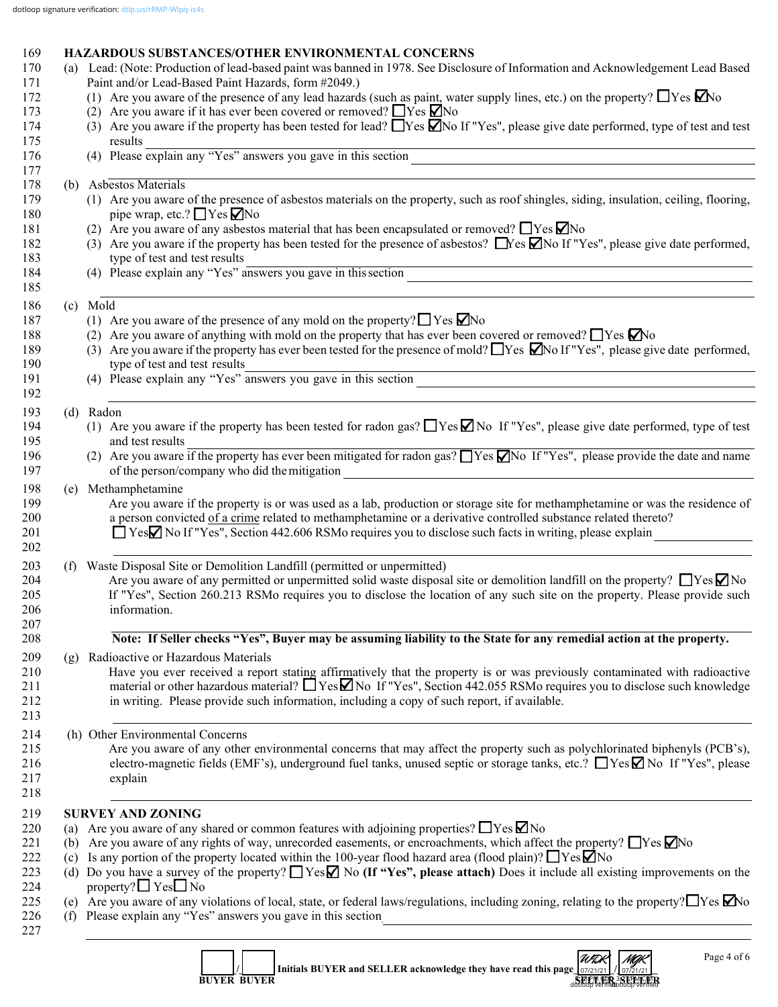# 169 **HAZARDOUS SUBSTANCES/OTHER ENVIRONMENTAL CONCERNS**<br>170 (a) Lead: (Note: Production of lead-based naint was banned in 1978, See Disclose

|     | (a) Lead: (Note: Production of lead-based paint was banned in 1978. See Disclosure of Information and Acknowledgement Lead Based<br>Paint and/or Lead-Based Paint Hazards, form #2049.) |
|-----|-----------------------------------------------------------------------------------------------------------------------------------------------------------------------------------------|
|     | (1) Are you aware of the presence of any lead hazards (such as paint, water supply lines, etc.) on the property? $\Box$ Yes $\Box$ No                                                   |
|     | (2) Are you aware if it has ever been covered or removed? $\Box$ Yes $\Box$ No                                                                                                          |
|     | (3) Are you aware if the property has been tested for lead? $\Box$ Yes $\Box$ No If "Yes", please give date performed, type of test and test                                            |
|     | results                                                                                                                                                                                 |
|     | (4) Please explain any "Yes" answers you gave in this section $\frac{1}{\sqrt{2\pi}}$                                                                                                   |
|     |                                                                                                                                                                                         |
|     | (b) Asbestos Materials                                                                                                                                                                  |
|     | (1) Are you aware of the presence of asbestos materials on the property, such as roof shingles, siding, insulation, ceiling, flooring,<br>pipe wrap, etc.? $\Box$ Yes $\Box$ No         |
|     | (2) Are you aware of any asbestos material that has been encapsulated or removed? $\Box$ Yes $\Box$ No                                                                                  |
|     | (3) Are you aware if the property has been tested for the presence of asbestos? $\Box$ Yes $\Box$ No If "Yes", please give date performed,                                              |
|     | type of test and test results                                                                                                                                                           |
|     | type of test and test results<br>(4) Please explain any "Yes" answers you gave in this section                                                                                          |
|     |                                                                                                                                                                                         |
|     | (c) Mold                                                                                                                                                                                |
|     | (1) Are you aware of the presence of any mold on the property? $\Box$ Yes $\Box$ No                                                                                                     |
|     | (2) Are you aware of anything with mold on the property that has ever been covered or removed? $\Box$ Yes $\Box$ No                                                                     |
|     | (3) Are you aware if the property has ever been tested for the presence of mold? These $\Box$ No If "Yes", please give date performed,<br>type of test and test results                 |
|     | type of test and test results<br>(4) Please explain any "Yes" answers you gave in this section                                                                                          |
|     |                                                                                                                                                                                         |
|     | (d) Radon                                                                                                                                                                               |
|     | (1) Are you aware if the property has been tested for radon gas? $\Box$ Yes $\Box$ No If "Yes", please give date performed, type of test                                                |
|     | and test results<br>(2) Are you aware if the property has ever been mitigated for radon gas? $\Box$ Yes $\Box$ No If "Yes", please provide the date and name                            |
|     | of the person/company who did the mitigation<br><u> 1989 - Johann Stoff, Amerikaansk politiker († 1908)</u>                                                                             |
| (e) | Methamphetamine                                                                                                                                                                         |
|     | Are you aware if the property is or was used as a lab, production or storage site for methamphetamine or was the residence of                                                           |
|     | a person convicted of a crime related to methamphetamine or a derivative controlled substance related thereto?                                                                          |
|     | $\Box$ Yes $\Box$ No If "Yes", Section 442.606 RSMo requires you to disclose such facts in writing, please explain                                                                      |
|     |                                                                                                                                                                                         |
| (f) | Waste Disposal Site or Demolition Landfill (permitted or unpermitted)                                                                                                                   |
|     | Are you aware of any permitted or unpermitted solid waste disposal site or demolition landfill on the property? $\Box$ Yes $\Box$ No                                                    |
|     | If "Yes", Section 260.213 RSMo requires you to disclose the location of any such site on the property. Please provide such<br>information.                                              |
|     |                                                                                                                                                                                         |
|     | Note: If Seller checks "Yes", Buyer may be assuming liability to the State for any remedial action at the property.                                                                     |
| (g) | Radioactive or Hazardous Materials                                                                                                                                                      |
|     | Have you ever received a report stating affirmatively that the property is or was previously contaminated with radioactive                                                              |
|     | material or other hazardous material? $\Box$ Yes $\Box$ No If "Yes", Section 442.055 RSMo requires you to disclose such knowledge                                                       |
|     | in writing. Please provide such information, including a copy of such report, if available.                                                                                             |
|     | (h) Other Environmental Concerns                                                                                                                                                        |
|     | Are you aware of any other environmental concerns that may affect the property such as polychlorinated biphenyls (PCB's),                                                               |
|     | electro-magnetic fields (EMF's), underground fuel tanks, unused septic or storage tanks, etc.? ■ Yes No If "Yes", please                                                                |
|     | explain                                                                                                                                                                                 |
|     |                                                                                                                                                                                         |
|     | <b>SURVEY AND ZONING</b>                                                                                                                                                                |
| (a) | Are you aware of any shared or common features with adjoining properties? $\Box$ Yes $\Box$ No                                                                                          |
| (b) | Are you aware of any rights of way, unrecorded easements, or encroachments, which affect the property? $\Box$ Yes $\Box$ No                                                             |
| (c) | Is any portion of the property located within the 100-year flood hazard area (flood plain)? $\Box$ Yes $\Box$ No                                                                        |
|     | (d) Do you have a survey of the property? $\Box$ Yes $\Box$ No (If "Yes", please attach) Does it include all existing improvements on the<br>property? $\Box$ Yes $\Box$ No             |
|     | (e) Are you aware of any violations of local, state, or federal laws/regulations, including zoning, relating to the property? $\Box$ Yes $\Box$ No                                      |
|     | (f) Please explain any "Yes" answers you gave in this section<br><u> 1989 - Johann Barn, fransk politik (d. 1989)</u>                                                                   |
|     |                                                                                                                                                                                         |
|     | UTOR MOR<br>Page 4 of 6                                                                                                                                                                 |

|  |                    | Initials BUYER and SELLER acknowledge they have read this page $\frac{1}{07/21/21}$ / $\frac{1}{07/21/21}$ | WDK                                                          | MAK |  |
|--|--------------------|------------------------------------------------------------------------------------------------------------|--------------------------------------------------------------|-----|--|
|  |                    |                                                                                                            |                                                              |     |  |
|  | <b>BUYER BUYER</b> |                                                                                                            | e tep m con 301 pm centre.<br>dottoop verified toop verified |     |  |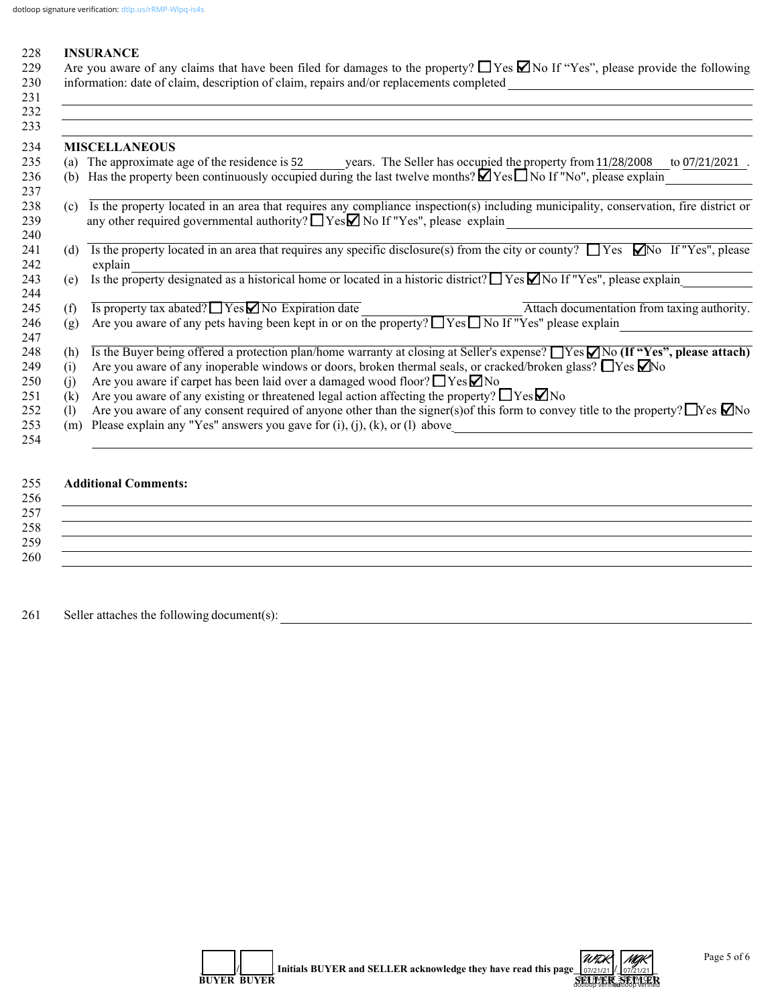#### 228 **INSURANCE**

| 229 Are you aware of any claims that have been filed for damages to the property? $\Box$ Yes $\Box$ No If "Yes", please provide the following |
|-----------------------------------------------------------------------------------------------------------------------------------------------|
| 230 information: date of claim, description of claim, repairs and/or replacements completed                                                   |

|     | <b>MISCELLANEOUS</b>                                                                                                                                                                                                             |
|-----|----------------------------------------------------------------------------------------------------------------------------------------------------------------------------------------------------------------------------------|
|     | (a) The approximate age of the residence is 52 years. The Seller has occupied the property from 11/28/2008<br>to $07/21/2021$ .                                                                                                  |
| (b) | Has the property been continuously occupied during the last twelve months? $\blacksquare$ Yes $\Box$ No If "No", please explain                                                                                                  |
| (c) | Is the property located in an area that requires any compliance inspection(s) including municipality, conservation, fire district or<br>any other required governmental authority? $\Box$ Yes $\Box$ No If "Yes", please explain |
| (d) | Is the property located in an area that requires any specific disclosure(s) from the city or county? $\Box$ Yes $\Box$ No If "Yes", please<br>explain                                                                            |
| (e) | Is the property designated as a historical home or located in a historic district? $\Box$ Yes $\Box$ No If "Yes", please explain                                                                                                 |
| (f) | Is property tax abated? $\Box$ Yes $\Box$ No Expiration date<br>Attach documentation from taxing authority.                                                                                                                      |
| (g) | Are you aware of any pets having been kept in or on the property? $\Box$ Yes $\Box$ No If "Yes" please explain                                                                                                                   |
| (h) | Is the Buyer being offered a protection plan/home warranty at closing at Seller's expense? $\Box$ Yes $\Box$ No (If "Yes", please attach)                                                                                        |
| (1) | Are you aware of any inoperable windows or doors, broken thermal seals, or cracked/broken glass? $\Box$ Yes $\Box$ No                                                                                                            |
| (i) | Are you aware if carpet has been laid over a damaged wood floor? $\Box$ Yes $\Box$ No                                                                                                                                            |
| (k) | Are you aware of any existing or threatened legal action affecting the property? $\Box$ Yes $\Box$ No                                                                                                                            |
| (1) | Are you aware of any consent required of anyone other than the signer(s) of this form to convey title to the property? $\Box$ Yes $\Box$ No                                                                                      |
| (m) | Please explain any "Yes" answers you gave for $(i)$ , $(j)$ , $(k)$ , or $(l)$ above                                                                                                                                             |

## 255 **Additional Comments:**

### $256$  $257$ 258 \_\_\_\_\_\_\_\_\_\_\_\_\_\_\_\_\_\_\_\_\_\_\_\_\_\_\_\_\_\_\_\_\_\_\_\_\_\_\_\_\_\_\_\_\_\_\_\_\_\_\_\_\_\_\_\_\_\_\_\_\_\_\_\_\_\_\_\_\_\_\_\_\_\_\_\_\_\_\_\_\_\_\_\_\_\_\_\_\_\_\_\_\_\_\_\_\_\_\_\_\_\_\_\_\_\_\_\_  $259$   $\overline{\phantom{a}}$ 260 \_\_\_\_\_\_\_\_\_\_\_\_\_\_\_\_\_\_\_\_\_\_\_\_\_\_\_\_\_\_\_\_\_\_\_\_\_\_\_\_\_\_\_\_\_\_\_\_\_\_\_\_\_\_\_\_\_\_\_\_\_\_\_\_\_\_\_\_\_\_\_\_\_\_\_\_\_\_\_\_\_\_\_\_\_\_\_\_\_\_\_\_\_\_\_\_\_\_\_\_\_\_\_\_\_\_\_\_

261 Seller attaches the following document(s): \_\_\_\_\_\_\_\_\_\_\_\_\_\_\_\_\_\_\_\_\_\_\_\_\_\_\_\_\_\_\_\_\_\_\_\_\_\_\_\_\_\_\_\_\_\_\_\_\_\_\_\_\_\_\_\_\_\_\_\_\_\_\_\_\_\_\_\_\_\_\_\_\_